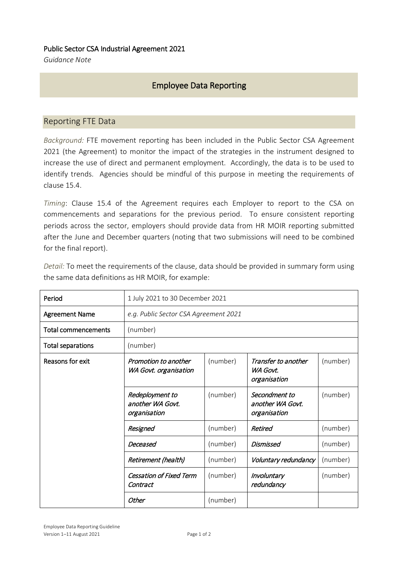## Public Sector CSA Industrial Agreement 2021

*Guidance Note*

## Employee Data Reporting

## Reporting FTE Data

*Background:* FTE movement reporting has been included in the Public Sector CSA Agreement 2021 (the Agreement) to monitor the impact of the strategies in the instrument designed to increase the use of direct and permanent employment. Accordingly, the data is to be used to identify trends. Agencies should be mindful of this purpose in meeting the requirements of clause 15.4.

*Timing*: Clause 15.4 of the Agreement requires each Employer to report to the CSA on commencements and separations for the previous period. To ensure consistent reporting periods across the sector, employers should provide data from HR MOIR reporting submitted after the June and December quarters (noting that two submissions will need to be combined for the final report).

| Detail: To meet the requirements of the clause, data should be provided in summary form using |  |
|-----------------------------------------------------------------------------------------------|--|
| the same data definitions as HR MOIR, for example:                                            |  |

| Period                   | 1 July 2021 to 30 December 2021                     |          |                                                   |          |  |
|--------------------------|-----------------------------------------------------|----------|---------------------------------------------------|----------|--|
| <b>Agreement Name</b>    | e.g. Public Sector CSA Agreement 2021               |          |                                                   |          |  |
| Total commencements      | (number)                                            |          |                                                   |          |  |
| <b>Total separations</b> | (number)                                            |          |                                                   |          |  |
| Reasons for exit         | Promotion to another<br>WA Govt. organisation       | (number) | Transfer to another<br>WA Govt.<br>organisation   | (number) |  |
|                          | Redeployment to<br>another WA Govt.<br>organisation | (number) | Secondment to<br>another WA Govt.<br>organisation | (number) |  |
|                          | Resigned                                            | (number) | Retired                                           | (number) |  |
|                          | Deceased                                            | (number) | Dismissed                                         | (number) |  |
|                          | Retirement (health)                                 | (number) | Voluntary redundancy                              | (number) |  |
|                          | <b>Cessation of Fixed Term</b><br>Contract          | (number) | Involuntary<br>redundancy                         | (number) |  |
|                          | Other                                               | (number) |                                                   |          |  |